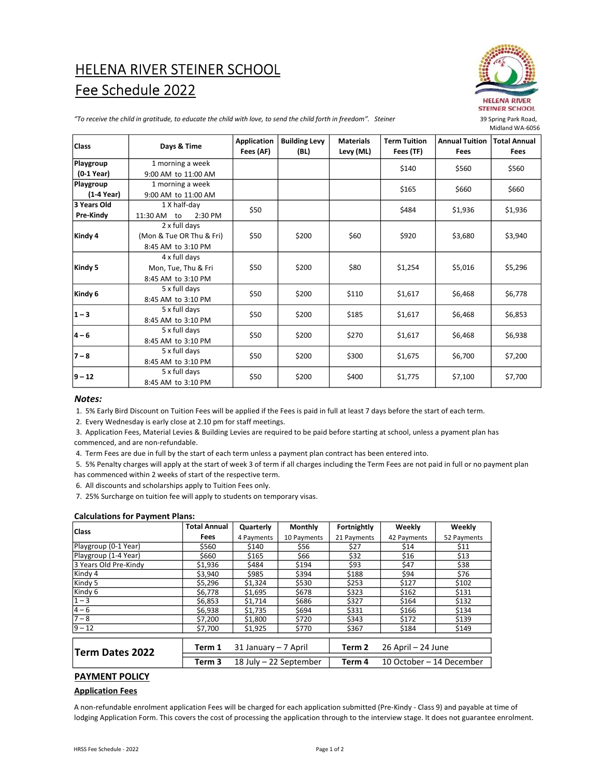# HELENA RIVER STEINER SCHOOL Fee Schedule 2022



"To receive the child in gratitude, to educate the child with love, to send the child forth in freedom". Steiner

| <b>Class</b> | Days & Time                                                     | Application<br>Fees (AF) | <b>Building Levy</b><br>(BL) | <b>Materials</b><br>Levy (ML) | <b>Term Tuition</b><br>Fees (TF) | <b>Annual Tuition</b><br><b>Fees</b> | <b>Total Annual</b><br><b>Fees</b> |
|--------------|-----------------------------------------------------------------|--------------------------|------------------------------|-------------------------------|----------------------------------|--------------------------------------|------------------------------------|
| Playgroup    | 1 morning a week                                                |                          |                              |                               | \$140                            | \$560                                | \$560                              |
| (0-1 Year)   | 9:00 AM to 11:00 AM                                             |                          |                              |                               |                                  |                                      |                                    |
| Playgroup    | 1 morning a week                                                |                          |                              |                               | \$165                            | \$660                                | \$660                              |
| (1-4 Year)   | 9:00 AM to 11:00 AM                                             |                          |                              |                               |                                  |                                      |                                    |
| 3 Years Old  | 1 X half-day                                                    |                          |                              |                               |                                  |                                      |                                    |
| Pre-Kindy    | 2:30 PM<br>11:30 AM to                                          | \$50                     |                              |                               | \$484                            | \$1,936                              | \$1,936                            |
| Kindy 4      | 2 x full days<br>(Mon & Tue OR Thu & Fri)<br>8:45 AM to 3:10 PM | \$50                     | \$200                        | \$60                          | \$920                            | \$3,680                              | \$3,940                            |
| Kindy 5      | 4 x full days<br>Mon, Tue, Thu & Fri<br>8:45 AM to 3:10 PM      | \$50                     | \$200                        | \$80                          | \$1,254                          | \$5,016                              | \$5,296                            |
| Kindy 6      | 5 x full days<br>8:45 AM to 3:10 PM                             | \$50                     | \$200                        | \$110                         | \$1,617                          | \$6,468                              | \$6,778                            |
| $1 - 3$      | 5 x full days<br>8:45 AM to 3:10 PM                             | \$50                     | \$200                        | \$185                         | \$1,617                          | \$6,468                              | \$6,853                            |
| $4 - 6$      | 5 x full days<br>8:45 AM to 3:10 PM                             | \$50                     | \$200                        | \$270                         | \$1,617                          | \$6,468                              | \$6,938                            |
| $7 - 8$      | 5 x full days<br>8:45 AM to 3:10 PM                             | \$50                     | \$200                        | \$300                         | \$1,675                          | \$6,700                              | \$7,200                            |
| 9 – 12       | 5 x full days<br>8:45 AM to 3:10 PM                             | \$50                     | \$200                        | \$400                         | \$1,775                          | \$7,100                              | \$7,700                            |

# Notes:

1. 5% Early Bird Discount on Tuition Fees will be applied if the Fees is paid in full at least 7 days before the start of each term.

2. Every Wednesday is early close at 2.10 pm for staff meetings.

 3. Application Fees, Material Levies & Building Levies are required to be paid before starting at school, unless a pyament plan has commenced, and are non-refundable.

4. Term Fees are due in full by the start of each term unless a payment plan contract has been entered into.

 5. 5% Penalty charges will apply at the start of week 3 of term if all charges including the Term Fees are not paid in full or no payment plan has commenced within 2 weeks of start of the respective term.

6. All discounts and scholarships apply to Tuition Fees only.

7. 25% Surcharge on tuition fee will apply to students on temporary visas.

# Calculations for Payment Plans:

| Class                 | <b>Total Annual</b> | Quarterly            | <b>Monthly</b>         | Fortnightly | Weekly                   | Weekly      |  |  |  |
|-----------------------|---------------------|----------------------|------------------------|-------------|--------------------------|-------------|--|--|--|
|                       | Fees                | 4 Payments           | 10 Payments            | 21 Payments | 42 Payments              | 52 Payments |  |  |  |
| Playgroup (0-1 Year)  | \$560               | \$140                | \$56                   | \$27        | \$14                     | \$11        |  |  |  |
| Playgroup (1-4 Year)  | \$660               | \$165                | \$66                   | \$32        | \$16                     | \$13        |  |  |  |
| 3 Years Old Pre-Kindy | \$1,936             | \$484                | \$194                  | \$93        | \$47                     | \$38        |  |  |  |
| Kindy 4               | \$3,940             | \$985                | \$394                  | \$188       | \$94                     | \$76        |  |  |  |
| Kindy 5               | \$5,296             | \$1,324              | \$530                  | \$253       | \$127                    | \$102       |  |  |  |
| Kindy 6               | \$6,778             | \$1,695              | \$678                  | \$323       | \$162                    | \$131       |  |  |  |
| $1 - 3$               | \$6,853             | \$1,714              | \$686                  | \$327       | \$164                    | \$132       |  |  |  |
| $ 4 - 6 $             | \$6,938             | \$1,735              | \$694                  | \$331       | \$166                    | \$134       |  |  |  |
| $ 7 - 8 $             | \$7,200             | \$1,800              | \$720                  | \$343       | \$172                    | \$139       |  |  |  |
| $ 9 - 12 $            | \$7,700             | \$1,925              | \$770                  | \$367       | \$184                    | \$149       |  |  |  |
|                       |                     |                      |                        |             |                          |             |  |  |  |
| Term Dates 2022       | Term 1              | 31 January - 7 April |                        | Term 2      | 26 April - 24 June       |             |  |  |  |
|                       | Term 3              |                      | 18 July - 22 September | Term 4      | 10 October - 14 December |             |  |  |  |

# PAYMENT POLICY

# Application Fees

A non-refundable enrolment application Fees will be charged for each application submitted (Pre-Kindy - Class 9) and payable at time of lodging Application Form. This covers the cost of processing the application through to the interview stage. It does not guarantee enrolment.